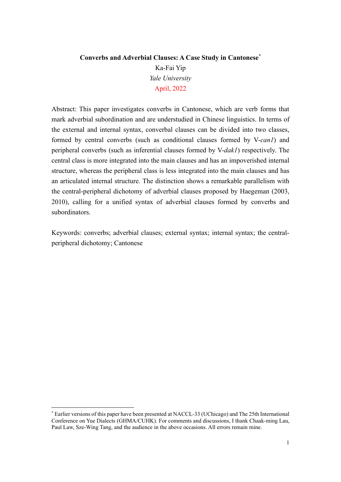# **Converbs and Adverbial Clauses: A Case Study in Cantonese\*** Ka-Fai Yip *Yale University* April, 2022

Abstract: This paper investigates converbs in Cantonese, which are verb forms that mark adverbial subordination and are understudied in Chinese linguistics. In terms of the external and internal syntax, converbal clauses can be divided into two classes, formed by central converbs (such as conditional clauses formed by V-*can1*) and peripheral converbs (such as inferential clauses formed by V-*dak1*) respectively. The central class is more integrated into the main clauses and has an impoverished internal structure, whereas the peripheral class is less integrated into the main clauses and has an articulated internal structure. The distinction shows a remarkable parallelism with the central-peripheral dichotomy of adverbial clauses proposed by Haegeman (2003, 2010), calling for a unified syntax of adverbial clauses formed by converbs and subordinators.

Keywords: converbs; adverbial clauses; external syntax; internal syntax; the centralperipheral dichotomy; Cantonese

<sup>\*</sup> Earlier versions of this paper have been presented at NACCL-33 (UChicago) and The 25th International Conference on Yue Dialects (GHMA/CUHK). For comments and discussions, I thank Chaak-ming Lau, Paul Law, Sze-Wing Tang, and the audience in the above occasions. All errors remain mine.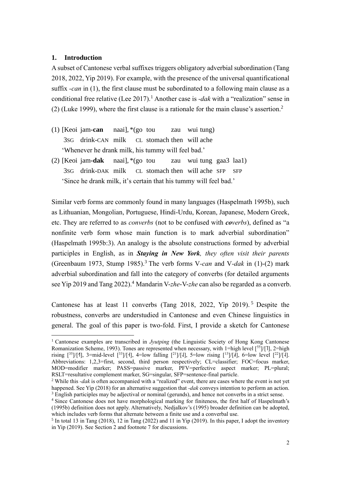#### **1. Introduction**

A subset of Cantonese verbal suffixes triggers obligatory adverbial subordination (Tang 2018, 2022, Yip 2019). For example, with the presence of the universal quantificational suffix *-can* in [\(1\),](#page-1-0) the first clause must be subordinated to a following main clause as a conditional free relative (Lee 2017).<sup>1</sup> Another case is *-dak* with a "realization" sense in [\(2\)](#page-1-1) (Luke 1999), where the first clause is a rationale for the main clause's assertion.<sup>2</sup>

- <span id="page-1-0"></span>(1) [Keoi jam-**can** naai], \*(go tou zau wui tung) 3SG drink-CAN milk CL stomach then will ache 'Whenever he drank milk, his tummy will feel bad.'
- <span id="page-1-1"></span>(2) [Keoi jam**-dak** naai], \*(go tou zau wui tung gaa3 laa1) 3SG drink-DAK milk CL stomach then will ache SFP SFP 'Since he drank milk, it's certain that his tummy will feel bad.'

Similar verb forms are commonly found in many languages (Haspelmath 1995b), such as Lithuanian, Mongolian, Portuguese, Hindi-Urdu, Korean, Japanese, Modern Greek, etc. They are referred to as *converbs* (not to be confused with *coverbs*), defined as "a nonfinite verb form whose main function is to mark adverbial subordination" (Haspelmath 1995b:3). An analogy is the absolute constructions formed by adverbial participles in English, as in *Staying in New York, they often visit their parents* (Greenbaum 1973, Stump 1985).<sup>3</sup> The verb forms V*-can* and V*-dak* in [\(1\)](#page-1-0)[-\(2\)](#page-1-1) mark adverbial subordination and fall into the category of converbs (for detailed arguments see Yip 2019 and Tang 2022).<sup>4</sup> Mandarin V-*zhe*-V-*zhe* can also be regarded as a converb.

Cantonese has at least 11 converbs (Tang 2018, 2022, Yip 2019). 5 Despite the robustness, converbs are understudied in Cantonese and even Chinese linguistics in general. The goal of this paper is two-fold. First, I provide a sketch for Cantonese

<sup>1</sup> Cantonese examples are transcribed in *Jyutping* (the Linguistic Society of Hong Kong Cantonese Romanization Scheme, 1993). Tones are represented when necessary, with 1=high level [55]/[1], 2=high rising  $[35]/[1]$ , 3=mid-level  $[33]/[1]$ , 4=low falling  $[21]/[1]$ , 5=low rising  $[13]/[1]$ , 6=low level  $[22]/[1]$ . Abbreviations: 1,2,3=first, second, third person respectively; CL=classifier; FOC=focus marker, MOD=modifier marker; PASS=passive marker, PFV=perfective aspect marker; PL=plural; RSLT=resultative complement marker, SG=singular, SFP=sentence-final particle.

<sup>&</sup>lt;sup>2</sup> While this *-dak* is often accompanied with a "realized" event, there are cases where the event is not yet happened. See Yip (2018) for an alternative suggestion that *-dak* conveys intention to perform an action. <sup>3</sup> English participles may be adjectival or nominal (gerunds), and hence not converbs in a strict sense.

<sup>4</sup> Since Cantonese does not have morphological marking for finiteness, the first half of Haspelmath's (1995b) definition does not apply. Alternatively, Nedjalkov's (1995) broader definition can be adopted, which includes verb forms that alternate between a finite use and a converbal use.

<sup>&</sup>lt;sup>5</sup> In total 13 in Tang (2018), 12 in Tang (2022) and 11 in Yip (2019). In this paper, I adopt the inventory in Yip (2019). See Section 2 and footnote [7](#page-4-0) for discussions.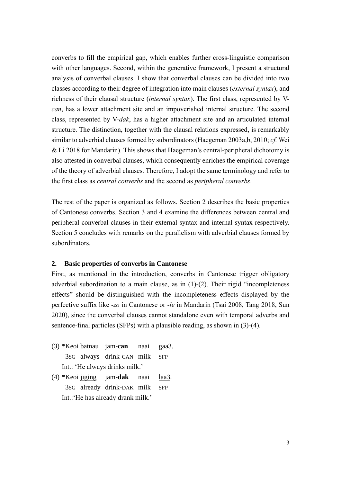converbs to fill the empirical gap, which enables further cross-linguistic comparison with other languages. Second, within the generative framework, I present a structural analysis of converbal clauses. I show that converbal clauses can be divided into two classes according to their degree of integration into main clauses (*external syntax*), and richness of their clausal structure (*internal syntax*). The first class, represented by V*can*, has a lower attachment site and an impoverished internal structure. The second class, represented by V-*dak*, has a higher attachment site and an articulated internal structure. The distinction, together with the clausal relations expressed, is remarkably similar to adverbial clauses formed by subordinators (Haegeman 2003a,b, 2010; *cf.* Wei & Li 2018 for Mandarin). This shows that Haegeman's central-peripheral dichotomy is also attested in converbal clauses, which consequently enriches the empirical coverage of the theory of adverbial clauses. Therefore, I adopt the same terminology and refer to the first class as *central converbs* and the second as *peripheral converbs*.

The rest of the paper is organized as follows. Section 2 describes the basic properties of Cantonese converbs. Section 3 and 4 examine the differences between central and peripheral converbal clauses in their external syntax and internal syntax respectively. Section 5 concludes with remarks on the parallelism with adverbial clauses formed by subordinators.

## **2. Basic properties of converbs in Cantonese**

First, as mentioned in the introduction, converbs in Cantonese trigger obligatory adverbial subordination to a main clause, as in [\(1\)](#page-1-0)[-\(2\).](#page-1-1) Their rigid "incompleteness effects" should be distinguished with the incompleteness effects displayed by the perfective suffix like *-zo* in Cantonese or -*le* in Mandarin (Tsai 2008, Tang 2018, Sun 2020), since the converbal clauses cannot standalone even with temporal adverbs and sentence-final particles (SFPs) with a plausible reading, as shown in [\(3\)](#page-2-0)[-\(4\).](#page-2-1)

- <span id="page-2-0"></span>(3) \*Keoi batnau jam-**can** naai gaa3. 3SG always drink-CAN milk SFP Int.: 'He always drinks milk.'
- <span id="page-2-1"></span>(4) \*Keoi jiging jam-**dak** naai laa3. 3SG already drink-DAK milk SFP Int.:'He has already drank milk.'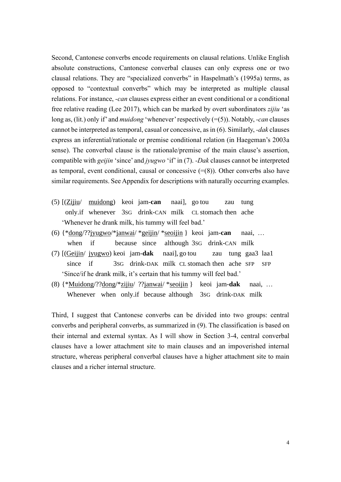Second, Cantonese converbs encode requirements on clausal relations. Unlike English absolute constructions, Cantonese converbal clauses can only express one or two clausal relations. They are "specialized converbs" in Haspelmath's (1995a) terms, as opposed to "contextual converbs" which may be interpreted as multiple clausal relations. For instance, *-can* clauses express either an event conditional or a conditional free relative reading (Lee 2017), which can be marked by overt subordinators *zijiu* 'as long as, (lit.) only if' and *muidong* 'whenever' respectively ([=\(5\)\)](#page-3-0). Notably, *-can* clauses cannot be interpreted as temporal, casual or concessive, as i[n \(6\).](#page-3-1) Similarly, *-dak* clauses express an inferential/rationale or premise conditional relation (in Haegeman's 2003a sense). The converbal clause is the rationale/premise of the main clause's assertion, compatible with *geijin* 'since' and *jyugwo* 'if' in [\(7\).](#page-3-2) *-Dak* clauses cannot be interpreted as temporal, event conditional, causal or concessive  $(=(8))$  $(=(8))$ . Other converbs also have similar requirements. See Appendix for descriptions with naturally occurring examples.

- <span id="page-3-0"></span>(5) [(Zijiu/ muidong) keoi jam-**can** naai], go tou zau tung only.if whenever 3SG drink-CAN milk CL stomach then ache 'Whenever he drank milk, his tummy will feel bad.'
- <span id="page-3-1"></span>(6) {\*dong/??jyugwo/\*janwai/ \*geijin/ \*seoijin } keoi jam-**can** naai, … when if because since although 3sG drink-CAN milk
- <span id="page-3-2"></span>(7) [(Geijin/ jyugwo) keoi jam-**dak** naai], go tou zau tung gaa3 laa1 since if 3SG drink-DAK milk CL stomach then ache SFP SFP 'Since/if he drank milk, it's certain that his tummy will feel bad.'
- <span id="page-3-3"></span>(8) {\*Muidong/??dong/\*zijiu/ ??janwai/ \*seoijin } keoi jam-**dak** naai, … Whenever when only.if because although 3SG drink-DAK milk

Third, I suggest that Cantonese converbs can be divided into two groups: central converbs and peripheral converbs, as summarized in [\(9\).](#page-4-1) The classification is based on their internal and external syntax. As I will show in Section 3-4, central converbal clauses have a lower attachment site to main clauses and an impoverished internal structure, whereas peripheral converbal clauses have a higher attachment site to main clauses and a richer internal structure.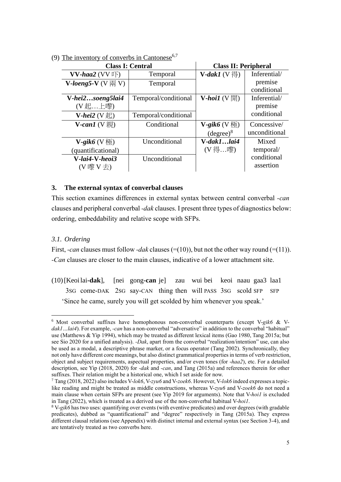<span id="page-4-1"></span>

|  | (9) The inventory of converbs in Cantonese <sup>6,7</sup> |
|--|-----------------------------------------------------------|
|  |                                                           |

<span id="page-4-0"></span>

| <b>Class I: Central</b>                         | <b>Class II: Peripheral</b> |                                  |               |  |
|-------------------------------------------------|-----------------------------|----------------------------------|---------------|--|
| <b>VV-haa2</b> (VV $\mathbb{F}$ )               | Temporal                    | <b>V-dak1</b> (V 得)              | Inferential/  |  |
| <b>V</b> -loeng5- <b>V</b> (V $\overline{M}$ V) | Temporal                    |                                  | premise       |  |
|                                                 |                             |                                  | conditional   |  |
| V-hei2soeng5lai4                                | Temporal/conditional        | $V$ -hoi $I(V H)$                | Inferential/  |  |
| (V起上嚟)                                          |                             |                                  | premise       |  |
| <b>V-hei2</b> (V起)                              | Temporal/conditional        |                                  | conditional   |  |
| $V\text{-}can1$ (V 親)                           | Conditional                 | V-gik6 ( $V \overline{\omega}$ ) | Concessive/   |  |
|                                                 |                             | $(degree)^8$                     | unconditional |  |
| <b>V</b> -gik6 (V $\overline{\omega}$ )         | Unconditional               | $V$ -dak $1$ lai4                | Mixed         |  |
| (quantificational)                              |                             | (V 得嚟)                           | temporal/     |  |
| V-lai4-V-heoi3                                  | Unconditional               |                                  | conditional   |  |
| (V 嚟 V 去)                                       |                             |                                  | assertion     |  |

# **3. The external syntax of converbal clauses**

This section examines differences in external syntax between central converbal *-can* clauses and peripheral converbal *-dak* clauses. I present three types of diagnostics below: ordering, embeddability and relative scope with SFPs.

# *3.1. Ordering*

First, *-can* clauses must follow *-dak* clauses ([=\(10\)\)](#page-4-2), but not the other way round ([=\(11\)\)](#page-5-0). *-Can* clauses are closer to the main clauses, indicative of a lower attachment site.

<span id="page-4-2"></span>(10)[Keoilai**-dak**], [nei gong**-can** je] zau wui bei keoi naau gaa3 laa1 3SG come-DAK 2SG say-CAN thing then will PASS 3SG scold SFP SFP 'Since he came, surely you will get scolded by him whenever you speak.'

<sup>6</sup> Most converbal suffixes have homophonous non-converbal counterparts (except V-*gik6* & V*dak1…lai4*). For example, *-can* has a non-converbal "adversative" in addition to the converbal "habitual" use (Matthews & Yip 1994), which may be treated as different lexical items (Gao 1980, Tang 2015a; but see Sio 2020 for a unified analysis). *-Dak*, apart from the converbal "realization/intention" use, can also be used as a modal, a descriptive phrase marker, or a focus operator (Tang 2002). Synchronically, they not only have different core meanings, but also distinct grammatical properties in terms of verb restriction, object and subject requirements, aspectual properties, and/or even tones (for -*haa2*), etc. For a detailed description, see Yip (2018, 2020) for *-dak* and *-can*, and Tang (2015a) and references therein for other suffixes. Their relation might be a historical one, which I set aside for now.

<sup>7</sup> Tang (2018, 2022) also includes V-*lok6*, V-*zyu6* and V-*zoek6*. However, V-*lok6* indeed expresses a topiclike reading and might be treated as middle constructions, whereas V-*zyu6* and V-*zoek6* do not need a main clause when certain SFPs are present (see Yip 2019 for arguments). Note that V-*hoi1* is excluded in Tang (2022), which is treated as a derived use of the non-converbal habitual V-*hoi1*.

<sup>8</sup> V-*gik6* has two uses: quantifying over events (with eventive predicates) and over degrees (with gradable predicates), dubbed as "quantificational" and "degree" respectively in Tang (2015a). They express different clausal relations (see Appendix) with distinct internal and external syntax (see Section 3-4), and are tentatively treated as two converbs here.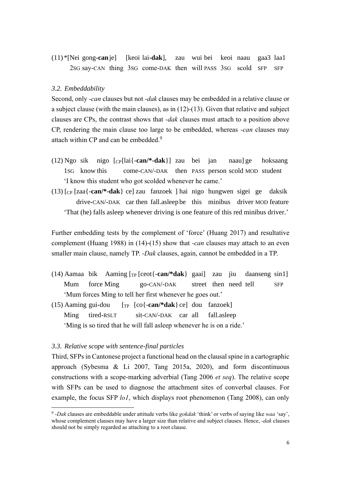<span id="page-5-0"></span>(11) \*[Nei gong**-can**je] [keoi lai**-dak**], zau wui bei keoi naau gaa3 laa1 2SG say-CAN thing 3SG come-DAK then will PASS 3SG scold SFP SFP

## *3.2. Embeddability*

Second, only *-can* clauses but not *-dak* clauses may be embedded in a relative clause or a subject clause (with the main clauses), as in [\(12\)](#page-5-1)[-\(13\).](#page-5-2) Given that relative and subject clauses are CPs, the contrast shows that *-dak* clauses must attach to a position above CP, rendering the main clause too large to be embedded, whereas *-can* clauses may attach within CP and can be embedded.<sup>9</sup>

- <span id="page-5-1"></span>(12) Ngo sik nigo [CP[lai{-**can/\*-dak**}] zau bei jan naau] ge hoksaang 1SG know this come-CAN/-DAK then PASS person scold MOD student 'I know this student who got scolded whenever he came.'
- <span id="page-5-2"></span>(13) [CP [zaa{-**can/\*-dak**} ce] zau fanzoek ] hai nigo hungwen sigei ge daksik drive-CAN/-DAK car then fall.asleep be this minibus driver MOD feature 'That (he) falls asleep whenever driving is one feature of this red minibus driver.'

Further embedding tests by the complement of 'force' (Huang 2017) and resultative complement (Huang 1988) in [\(14\)-](#page-5-3)[\(15\)](#page-5-4) show that *-can* clauses may attach to an even smaller main clause, namely TP. *-Dak* clauses, again, cannot be embedded in a TP.

- <span id="page-5-3"></span>(14) Aamaa bik Aaming [TP [ceot{-**can/\*dak**} gaai] zau jiu daanseng sin1] Mum force Ming go-CAN/-DAK street then need tell SFP 'Mum forces Ming to tell her first whenever he goes out.'
- <span id="page-5-4"></span>(15) Aaming gui-dou  $[T_P \left[ \text{co} \{-\text{can}/\text{*dak} \} \text{ ce} \right]$  dou fanzoek] Ming tired-RSLT sit-CAN/-DAK car all fall.asleep 'Ming is so tired that he will fall asleep whenever he is on a ride.'

#### *3.3. Relative scope with sentence-final particles*

Third, SFPs in Cantonese project a functional head on the clausal spine in a cartographic approach (Sybesma & Li 2007, Tang 2015a, 2020), and form discontinuous constructions with a scope-marking adverbial (Tang 2006 *et seq*). The relative scope with SFPs can be used to diagnose the attachment sites of converbal clauses. For example, the focus SFP *lo1*, which displays root phenomenon (Tang 2008), can only

<sup>9</sup> *-Dak* clauses are embeddable under attitude verbs like *gokdak* 'think' or verbs of saying like *waa* 'say', whose complement clauses may have a larger size than relative and subject clauses. Hence, *-dak* clauses should not be simply regarded as attaching to a root clause.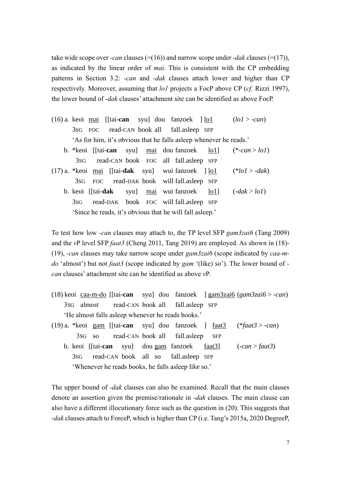take wide scope over *-can* clauses ([=\(16\)\)](#page-6-0) and narrow scope under *-dak* clauses ([=\(17\)\)](#page-6-1), as indicated by the linear order of *mai*. This is consistent with the CP embedding patterns in Section 3.2: *-can* and *-dak* clauses attach lower and higher than CP respectively. Moreover, assuming that *lo1* projects a FocP above CP (*cf.* Rizzi 1997), the lower bound of *-dak* clauses' attachment site can be identified as above FocP.

<span id="page-6-1"></span><span id="page-6-0"></span>

|                                                           |  |  |  |  |  | (16) a. keoi <u>mai</u> [[tai-can syu] dou fanzoek ] <u>lo1</u>     |  | $(log1 > -can)$                                                                                                                                                                                                                                                                                                                                                                                     |  |
|-----------------------------------------------------------|--|--|--|--|--|---------------------------------------------------------------------|--|-----------------------------------------------------------------------------------------------------------------------------------------------------------------------------------------------------------------------------------------------------------------------------------------------------------------------------------------------------------------------------------------------------|--|
|                                                           |  |  |  |  |  | 3sG FOC read-CAN book all fall.asleep SFP                           |  |                                                                                                                                                                                                                                                                                                                                                                                                     |  |
|                                                           |  |  |  |  |  | 'As for him, it's obvious that he falls as leep whenever he reads.' |  |                                                                                                                                                                                                                                                                                                                                                                                                     |  |
|                                                           |  |  |  |  |  |                                                                     |  | b. *keoi [[tai-can syu] mai dou fanzoek $\text{tol}$ ] (*-can > lo1)                                                                                                                                                                                                                                                                                                                                |  |
|                                                           |  |  |  |  |  | 3sG read-CAN book FOC all fall.asleep SFP                           |  |                                                                                                                                                                                                                                                                                                                                                                                                     |  |
|                                                           |  |  |  |  |  |                                                                     |  | (17) a. *keoi mai [[tai- <b>dak</b> syu] wui fanzoek ] $\underline{lo1}$ (* $\underline{lo1}$ /* $\underline{lo1}$ /* $\underline{lo1}$ /* $\underline{lo1}$ /* $\underline{lo1}$ /* $\underline{lo1}$ /* $\underline{lo1}$ /* $\underline{lo1}$ /* $\underline{lo1}$ /* $\underline{lo1}$ /* $\underline{lo1}$ /* $\underline{lo1}$ /* $\underline{lo1}$ /* $\underline{lo1}$ /* $\underline{lo1}$ |  |
|                                                           |  |  |  |  |  | 3sG FOC read-DAK book will fall as leep SFP                         |  |                                                                                                                                                                                                                                                                                                                                                                                                     |  |
|                                                           |  |  |  |  |  |                                                                     |  | b. keoi [[tai- <b>dak</b> syu] mai wuifanzoek $\text{lo1}$ ] (- $\text{dak} > \text{lo1}$ )                                                                                                                                                                                                                                                                                                         |  |
|                                                           |  |  |  |  |  | 3sG read-DAK book FOC will fall as leep SFP                         |  |                                                                                                                                                                                                                                                                                                                                                                                                     |  |
| 'Since he reads, it's obvious that he will fall as leep.' |  |  |  |  |  |                                                                     |  |                                                                                                                                                                                                                                                                                                                                                                                                     |  |

To test how low *-can* clauses may attach to, the TP level SFP *gam3zai6* (Tang 2009) and the *v*P level SFP *faat3* (Cheng 2011, Tang 2019) are employed. As shown in [\(18\)-](#page-6-2) [\(19\),](#page-6-3) *-can* clauses may take narrow scope under *gam3zai6* (scope indicated by *caa-mdo* 'almost') but not *faat3* (scope indicated by *gam* '(like) so'). The lower bound of  *can* clauses' attachment site can be identified as above *v*P.

- <span id="page-6-2"></span>(18) keoi caa-m-do [[tai-**can** syu] dou fanzoek ] gam3zai6 (*gam3zai6* > *-can*) 3SG almost read-CAN book all fall.asleep SFP 'He almost falls asleep whenever he reads books.'
- <span id="page-6-3"></span>(19) a. \*keoi gam [[tai-**can** syu] dou fanzoek ] faat3 (\**faat3* > *-can*) 3SG so read-CAN book all fall.asleep SFP b. keoi [[tai-**can** syu] dou gam fanzoek faat3] (*-can* > *faat3*) 3SG read-CAN book all so fall.asleep SFP 'Whenever he reads books, he falls asleep like so.'

The upper bound of *-dak* clauses can also be examined. Recall that the main clauses denote an assertion given the premise/rationale in *-dak* clauses. The main clause can also have a different illocutionary force such as the question in [\(20\).](#page-7-0) This suggests that *-dak* clauses attach to ForceP, which is higher than CP (i.e. Tang's 2015a, 2020 DegreeP,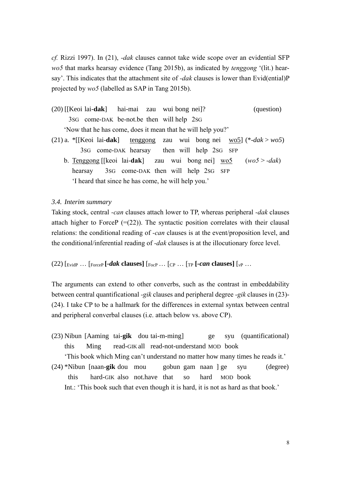*cf.* Rizzi 1997). In [\(21\),](#page-7-1) *-dak* clauses cannot take wide scope over an evidential SFP *wo5* that marks hearsay evidence (Tang 2015b), as indicated by *tenggong* '(lit.) hearsay'. This indicates that the attachment site of *-dak* clauses is lower than Evid(ential)P projected by *wo5* (labelled as SAP in Tang 2015b).

- <span id="page-7-0"></span>(20) [[Keoi lai-**dak**] hai-mai zau wui bong nei]? (question) 3SG come-DAK be-not.be then will help 2SG 'Now that he has come, does it mean that he will help you?'
- <span id="page-7-1"></span>(21) a. \*[[Keoi lai-**dak**] tenggong zau wui bong nei wo5] (\**-dak* > *wo5*) 3SG come-DAK hearsay then will help 2SG SFP
	- b. Tenggong [[keoi lai-**dak**] zau wui bong nei] wo5 (*wo5* > *-dak*) hearsay 3SG come-DAK then will help 2SG SFP 'I heard that since he has come, he will help you.'

### *3.4. Interim summary*

Taking stock, central *-can* clauses attach lower to TP, whereas peripheral *-dak* clauses attach higher to ForceP  $(=(22))$  $(=(22))$ . The syntactic position correlates with their clausal relations: the conditional reading of *-can* clauses is at the event/proposition level, and the conditional/inferential reading of *-dak* clauses is at the illocutionary force level.

<span id="page-7-2"></span> $(22)$  [EvidP  $\ldots$  [ForceP **[-dak clauses**] [FocP  $\ldots$  [CP  $\ldots$  [TP **[-can clauses**] [ $\nu$ P  $\ldots$ 

The arguments can extend to other converbs, such as the contrast in embeddability between central quantificational *-gik* clauses and peripheral degree *-gik* clauses in [\(23\)-](#page-7-3) [\(24\).](#page-7-4) I take CP to be a hallmark for the differences in external syntax between central and peripheral converbal clauses (i.e. attach below vs. above CP).

<span id="page-7-3"></span>(23) Nibun [Aaming tai-**gik** dou tai-m-ming] ge syu (quantificational) this Ming read-GIK all read-not-understand MOD book

'This book which Ming can't understand no matter how many times he reads it.'

<span id="page-7-4"></span>(24) \*Nibun [naan-**gik** dou mou gobun gam naan ] ge syu (degree) this hard-GIK also not.have that so hard MOD book Int.: 'This book such that even though it is hard, it is not as hard as that book.'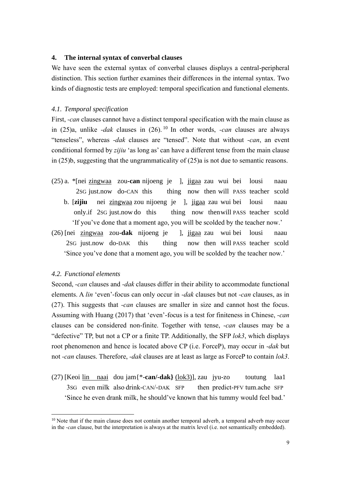## **4. The internal syntax of converbal clauses**

We have seen the external syntax of converbal clauses displays a central-peripheral distinction. This section further examines their differences in the internal syntax. Two kinds of diagnostic tests are employed: temporal specification and functional elements.

### *4.1. Temporal specification*

First, *-can* clauses cannot have a distinct temporal specification with the main clause as in [\(25\)a](#page-8-0), unlike *-dak* clauses in [\(26\).](#page-8-1) 10 In other words, *-can* clauses are always "tenseless", whereas *-dak* clauses are "tensed". Note that without *-can*, an event conditional formed by *zijiu* 'as long as' can have a different tense from the main clause in [\(25\)b](#page-8-0), suggesting that the ungrammaticality of [\(25\)a](#page-8-0) is not due to semantic reasons.

- <span id="page-8-0"></span>(25) a. \*[nei zingwaa zou**-can** nijoeng je ], jigaa zau wui bei lousi naau 2SG just.now do-CAN this thing now then will PASS teacher scold b. [**zijiu** nei zingwaa zou nijoeng je ], jigaa zau wui bei lousi naau only.if 2SG just.now do this thing now thenwill PASS teacher scold
	- 'If you've done that a moment ago, you will be scolded by the teacher now.'
- <span id="page-8-1"></span>(26) [nei zingwaa zou**-dak** nijoeng je ], jigaa zau wui bei lousi naau 2SG just.now do-DAK this thing now then will PASS teacher scold 'Since you've done that a moment ago, you will be scolded by the teacher now.'

# *4.2. Functional elements*

Second, *-can* clauses and *-dak* clauses differ in their ability to accommodate functional elements. A *lin* 'even'-focus can only occur in *-dak* clauses but not *-can* clauses, as in [\(27\).](#page-8-2) This suggests that *-can* clauses are smaller in size and cannot host the focus. Assuming with Huang (2017) that 'even'-focus is a test for finiteness in Chinese, *-can* clauses can be considered non-finite. Together with tense, *-can* clauses may be a "defective" TP, but not a CP or a finite TP. Additionally, the SFP *lok3*, which displays root phenomenon and hence is located above CP (i.e. ForceP), may occur in *-dak* but not *-can* clauses. Therefore, *-dak* clauses are at least as large as ForceP to contain *lok3*.

<span id="page-8-2"></span>(27) [Keoi lin naai dou jam{\*-**can/-dak}** (lok3)], zau jyu-zo toutung laa1 3SG even milk also drink-CAN/-DAK SFP then predict-PFV tum.ache SFP 'Since he even drank milk, he should've known that his tummy would feel bad.'

 $10$  Note that if the main clause does not contain another temporal adverb, a temporal adverb may occur in the *-can* clause, but the interpretation is always at the matrix level (i.e. not semantically embedded).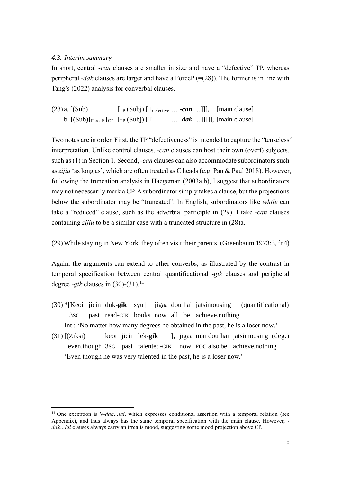### *4.3. Interim summary*

In short, central *-can* clauses are smaller in size and have a "defective" TP, whereas peripheral *-dak* clauses are larger and have a ForceP ([=\(28\)\)](#page-9-0). The former is in line with Tang's (2022) analysis for converbal clauses.

<span id="page-9-0"></span> $(28)$  a.  $[(Sub)$  [TP  $(Subj)$   $[T<sub>defective</sub> ... -can ...]]$ ], [main clause] b.  $[(Sub)|_{\text{ForceP}}$   $[\text{cp} \ \text{[TP (Subi) [T \ \ldots \ \text{-} \text{data} \ \ldots]]]]],$  [main clause]

Two notes are in order. First, the TP "defectiveness" is intended to capture the "tenseless" interpretation. Unlike control clauses, *-can* clauses can host their own (overt) subjects, such a[s \(1\)](#page-1-0) in Section 1. Second, *-can* clauses can also accommodate subordinators such as *zijiu* 'as long as', which are often treated as C heads (e.g. Pan & Paul 2018). However, following the truncation analysis in Haegeman (2003a,b), I suggest that subordinators may not necessarily mark a CP. A subordinator simply takes a clause, but the projections below the subordinator may be "truncated". In English, subordinators like *while* can take a "reduced" clause, such as the adverbial participle in [\(29\).](#page-9-1) I take *-can* clauses containing *zijiu* to be a similar case with a truncated structure in [\(28\)a](#page-9-0).

<span id="page-9-1"></span>(29)While staying in New York, they often visit their parents. (Greenbaum 1973:3, fn4)

Again, the arguments can extend to other converbs, as illustrated by the contrast in temporal specification between central quantificational *-gik* clauses and peripheral degree *-gik* clauses in [\(30\)](#page-9-2)[-\(31\).](#page-9-3) 11

- <span id="page-9-2"></span>(30) \*[Keoi jicin duk-**gik** syu] jigaa dou hai jatsimousing (quantificational) 3SG past read-GIK books now all be achieve.nothing Int.: 'No matter how many degrees he obtained in the past, he is a loser now.'
- <span id="page-9-3"></span>(31) [(Ziksi) keoi jicin lek-**gik** ], jigaa mai dou hai jatsimousing (deg.) even.though 3SG past talented-GIK now FOC also be achieve.nothing 'Even though he was very talented in the past, he is a loser now.'

<sup>&</sup>lt;sup>11</sup> One exception is V-*dak* ... lai, which expresses conditional assertion with a temporal relation (see Appendix), and thus always has the same temporal specification with the main clause. However, *dak…lai* clauses always carry an irrealis mood, suggesting some mood projection above CP.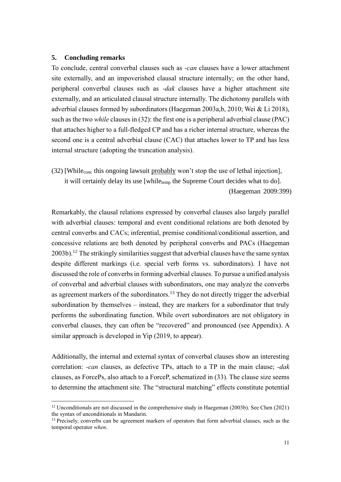#### **5. Concluding remarks**

To conclude, central converbal clauses such as *-can* clauses have a lower attachment site externally, and an impoverished clausal structure internally; on the other hand, peripheral converbal clauses such as *-dak* clauses have a higher attachment site externally, and an articulated clausal structure internally. The dichotomy parallels with adverbial clauses formed by subordinators (Haegeman 2003a,b, 2010; Wei & Li 2018), such as the two *while* clauses in [\(32\):](#page-10-0) the first one is a peripheral adverbial clause (PAC) that attaches higher to a full-fledged CP and has a richer internal structure, whereas the second one is a central adverbial clause (CAC) that attaches lower to TP and has less internal structure (adopting the truncation analysis).

<span id="page-10-0"></span>(32) [Whileconc this ongoing lawsuit probably won't stop the use of lethal injection], it will certainly delay its use [while<sub>temp</sub> the Supreme Court decides what to do]. (Haegeman 2009:399)

Remarkably, the clausal relations expressed by converbal clauses also largely parallel with adverbial clauses: temporal and event conditional relations are both denoted by central converbs and CACs; inferential, premise conditional/conditional assertion, and concessive relations are both denoted by peripheral converbs and PACs (Haegeman  $2003b$ .<sup>12</sup> The strikingly similarities suggest that adverbial clauses have the same syntax despite different markings (i.e. special verb forms vs. subordinators). I have not discussed the role of converbs in forming adverbial clauses. To pursue a unified analysis of converbal and adverbial clauses with subordinators, one may analyze the converbs as agreement markers of the subordinators.<sup>13</sup> They do not directly trigger the adverbial subordination by themselves – instead, they are markers for a subordinator that truly performs the subordinating function. While overt subordinators are not obligatory in converbal clauses, they can often be "recovered" and pronounced (see Appendix). A similar approach is developed in Yip (2019, to appear).

Additionally, the internal and external syntax of converbal clauses show an interesting correlation: *-can* clauses, as defective TPs, attach to a TP in the main clause; *-dak* clauses, as ForcePs, also attach to a ForceP, schematized in [\(33\).](#page-11-0) The clause size seems to determine the attachment site. The "structural matching" effects constitute potential

<sup>&</sup>lt;sup>12</sup> Unconditionals are not discussed in the comprehensive study in Haegeman (2003b). See Chen (2021) the syntax of unconditionals in Mandarin.

<sup>&</sup>lt;sup>13</sup> Precisely, converbs can be agreement markers of operators that form adverbial clauses, such as the temporal operator *when*.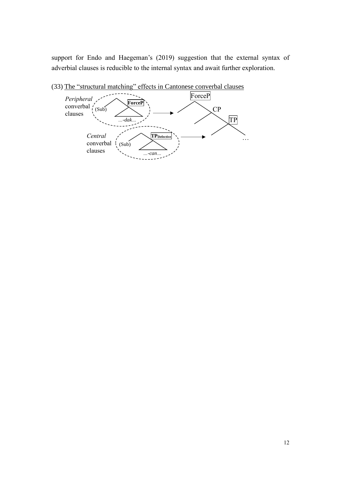support for Endo and Haegeman's (2019) suggestion that the external syntax of adverbial clauses is reducible to the internal syntax and await further exploration.

- ForceP TP … CP *Peripheral*  converbal<sub>"</sub> clauses *Central*  converbal clauses **ForceP** *…-dak…* (Sub) *…-can…* **TPDefective** (Sub)
- <span id="page-11-0"></span>(33) The "structural matching" effects in Cantonese converbal clauses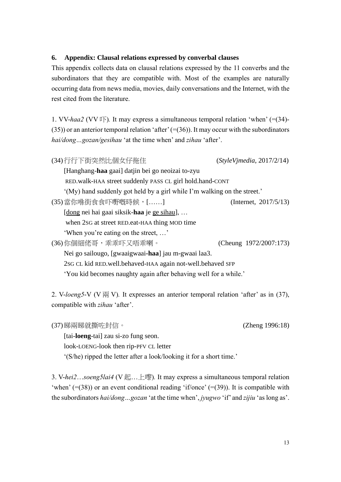# **6. Appendix: Clausal relations expressed by converbal clauses**

This appendix collects data on clausal relations expressed by the 11 converbs and the subordinators that they are compatible with. Most of the examples are naturally occurring data from news media, movies, daily conversations and the Internet, with the rest cited from the literature.

1. VV-*haa2* (VV  $\mathbb{F}$ ). It may express a simultaneous temporal relation 'when' ([=\(34\)-](#page-12-0) [\(35\)\)](#page-12-1) or an anterior temporal relation 'after' ([=\(36\)\)](#page-12-2). It may occur with the subordinators *hai/dong…gozan/gesihau* 'at the time when' and *zihau* 'after'.

<span id="page-12-1"></span><span id="page-12-0"></span>

| (34)行行下街突然比個女仔拖住                                                                                   | (StyleVjmedia, 2017/2/14) |  |  |  |  |
|----------------------------------------------------------------------------------------------------|---------------------------|--|--|--|--|
| [Hanghang-haa gaai] datjin bei go neoizai to-zyu                                                   |                           |  |  |  |  |
| RED.walk-HAA street suddenly PASS CL girl hold.hand-CONT                                           |                           |  |  |  |  |
| '(My) hand suddenly got held by a girl while I'm walking on the street.'                           |                           |  |  |  |  |
| (35)當你喺街食食吓嘢嘅時候,[]                                                                                 | (Internet, $2017/5/13$ )  |  |  |  |  |
| [dong nei hai gaai siksik- <b>haa</b> je ge sihau],                                                |                           |  |  |  |  |
| when 2sG at street RED.eat-HAA thing MOD time                                                      |                           |  |  |  |  |
| 'When you're eating on the street, '                                                               |                           |  |  |  |  |
| (36)你個細佬哥,乖乖吓又唔乖喇。                                                                                 | (Cheung 1972/2007:173)    |  |  |  |  |
| Nei go sailougo, [gwaaigwaai-haa] jau m-gwaai laa3.                                                |                           |  |  |  |  |
| 2sG CL kid RED.well.behaved-HAA again not-well.behaved SFP                                         |                           |  |  |  |  |
| 'You kid becomes naughty again after behaving well for a while.'                                   |                           |  |  |  |  |
|                                                                                                    |                           |  |  |  |  |
| 2. V-loeng5-V (V $\overline{M}$ V). It expresses an anterior temporal relation 'after' as in (37), |                           |  |  |  |  |

<span id="page-12-3"></span>(37)睇兩睇就撕咗封信。 (Zheng 1996:18)

<span id="page-12-2"></span>compatible with *zihau* 'after'.

[tai-**loeng**-tai] zau si-zo fung seon.

look-LOENG-look then rip-PFV CL letter

'(S/he) ripped the letter after a look/looking it for a short time.'

3. V-*hei2*…*soeng5lai4* (V 起…上嚟)*.* It may express a simultaneous temporal relation 'when'  $(=(38))$  $(=(38))$  or an event conditional reading 'if/once'  $(=(39))$  $(=(39))$ . It is compatible with the subordinators *hai/dong…gozan* 'at the time when', *jyugwo* 'if' and *zijiu* 'as long as'.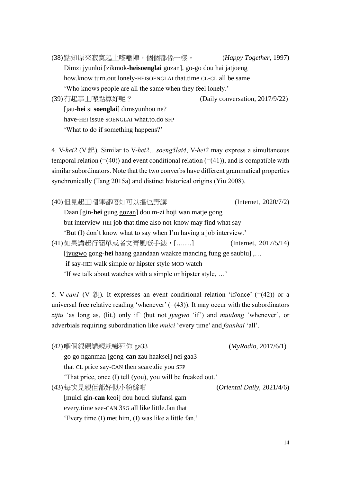- <span id="page-13-0"></span>(38)點知原來寂寞起上嚟嗰陣,個個都係一樣。 (*Happy Together*, 1997) Dimzi jyunloi [zikmok-**heisoenglai** gozan], go-go dou hai jatjoeng how.know turn.out lonely-HEISOENGLAI that.time CL-CL all be same 'Who knows people are all the same when they feel lonely.'
- 

<span id="page-13-1"></span>(39)有起事上嚟點算好呢? (Daily conversation, 2017/9/22)

[jau-**hei** si **soenglai**] dimsyunhou ne? have-HEI issue SOENGLAI what.to.do SFP 'What to do if something happens?'

4. V-*hei2* (V 起)*.* Similar to V-*hei2*…*soeng5lai4*, V-*hei2* may express a simultaneous temporal relation  $(=(40))$  $(=(40))$  and event conditional relation  $(=(41))$  $(=(41))$ , and is compatible with similar subordinators. Note that the two converbs have different grammatical properties synchronically (Tang 2015a) and distinct historical origins (Yiu 2008).

<span id="page-13-3"></span><span id="page-13-2"></span>

| (40) 但見起工嗰陣都唔知可以揾乜野講                                                                                                  | (Internet, $2020/7/2$ ) |  |  |  |  |                                                   |
|-----------------------------------------------------------------------------------------------------------------------|-------------------------|--|--|--|--|---------------------------------------------------|
| Daan [gin-hei gung gozan] dou m-zi hoji wan matje gong                                                                |                         |  |  |  |  |                                                   |
| but interview-HEI job that time also not-know may find what say                                                       |                         |  |  |  |  |                                                   |
| 'But (I) don't know what to say when I'm having a job interview.'                                                     |                         |  |  |  |  |                                                   |
| (41)如果講起行簡單或者文青風嘅手錶,[]<br>(Internet, $2017/5/14$ )<br>[jyugwo gong-hei haang gaandaan waakze mancing fung ge saubiu], |                         |  |  |  |  |                                                   |
|                                                                                                                       |                         |  |  |  |  | if say-HEI walk simple or hipster style MOD watch |
| 'If we talk about watches with a simple or hipster style, '                                                           |                         |  |  |  |  |                                                   |

5. V-*can1* (V 親)*.* It expresses an event conditional relation 'if/once' ([=\(42\)\)](#page-13-4) or a universal free relative reading 'whenever'  $(=(43))$  $(=(43))$ . It may occur with the subordinators *zijiu* 'as long as, (lit.) only if' (but not *jyugwo* 'if') and *muidong* 'whenever', or adverbials requiring subordination like *muici* 'every time' and *faanhai* 'all'.

<span id="page-13-5"></span><span id="page-13-4"></span>

| (42) 嗰個銀碼講親就嚇死你 ga33                                        | (MyRadio, 2017/6/1)                    |
|-------------------------------------------------------------|----------------------------------------|
| go go nganmaa [gong-can zau haaksei] nei gaa3               |                                        |
| that CL price say-CAN then scare.die you SFP                |                                        |
| 'That price, once (I) tell (you), you will be freaked out.' |                                        |
| (43) 每次見親佢都好似小粉絲咁                                           | ( <i>Oriental Daily</i> , $2021/4/6$ ) |
| [muici gin-can keoi] dou houci siufansi gam                 |                                        |
| every time see-CAN 3sG all like little fan that             |                                        |
| 'Every time (I) met him, (I) was like a little fan.'        |                                        |
|                                                             |                                        |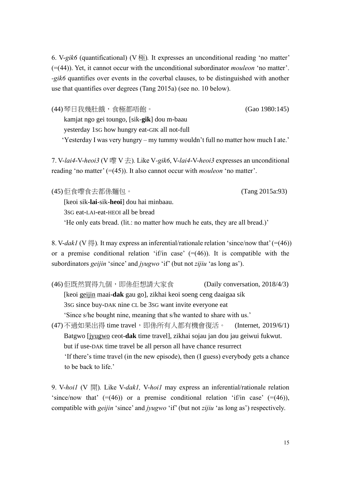6. V-*gik6* (quantificational) (V 極)*.* It expresses an unconditional reading 'no matter' ([=\(44\)\)](#page-14-0). Yet, it cannot occur with the unconditional subordinator *mouleon* 'no matter'. *-gik6* quantifies over events in the coverbal clauses, to be distinguished with another use that quantifies over degrees (Tang 2015a) (see no. 10 below).

<span id="page-14-0"></span>(44)琴日我幾肚餓,食極都唔飽。 (Gao 1980:145) kamjat ngo gei toungo, [sik-**gik**] dou m-baau yesterday 1SG how hungry eat-GIK all not-full

'Yesterday I was very hungry – my tummy wouldn't full no matter how much I ate.'

7. V-*lai4*-V-*heoi3* (V 嚟 V 去)*.* Like V*-gik6*, V-*lai4*-V-*heoi3* expresses an unconditional reading 'no matter' ([=\(45\)\)](#page-14-1). It also cannot occur with *mouleon* 'no matter'.

<span id="page-14-1"></span>(45)佢食嚟食去都係麵包。 (Tang 2015a:93)

[keoi sik-**lai**-sik-**heoi**] dou hai minbaau. 3SG eat-LAI-eat-HEOI all be bread 'He only eats bread. (lit.: no matter how much he eats, they are all bread.)'

8. V-*dak1* (V 得)*.* It may express an inferential/rationale relation 'since/now that'([=\(46\)\)](#page-14-2) or a premise conditional relation 'if/in case'  $(=(46))$  $(=(46))$ . It is compatible with the subordinators *geijin* 'since' and *jyugwo* 'if' (but not *zijiu* 'as long as').

<span id="page-14-2"></span>(46) 佢既然買得九個,即係佢想請大家食 (Daily conversation, 2018/4/3) [keoi geijin maai-**dak** gau go], zikhai keoi soeng ceng daaigaa sik 3SG since buy-DAK nine CL be 3SG want invite everyone eat 'Since s/he bought nine, meaning that s/he wanted to share with us.'

(47) 不過如果出得 time travel, 即係所有人都有機會復活。 (Internet, 2019/6/1) Batgwo [jyugwo ceot-**dak** time travel], zikhai sojau jan dou jau geiwui fukwut. but if use-DAK time travel be all person all have chance resurrect 'If there's time travel (in the new episode), then (I guess) everybody gets a chance to be back to life.'

9. V-*hoi1* (V 開)*.* Like V-*dak1,* V-*hoi1* may express an inferential/rationale relation 'since/now that'  $(=(46))$  $(=(46))$  or a premise conditional relation 'if/in case'  $(=(46))$ , compatible with *geijin* 'since' and *jyugwo* 'if' (but not *zijiu* 'as long as') respectively.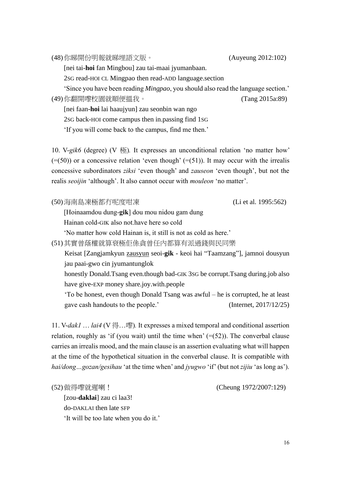(48)你睇開份明報就睇埋語文版。 (Auyeung 2012:102)

[nei tai-**hoi** fan Mingbou] zau tai-maai jyumanbaan.

2SG read-HOI CL Mingpao then read-ADD language.section

'Since you have been reading *Mingpao*, you should also read the language section.'

(49)你翻開嚟校園就順便搵我。 (Tang 2015a:89)

[nei faan-**hoi** lai haaujyun] zau seonbin wan ngo

2SG back-HOI come campus then in.passing find 1SG

'If you will come back to the campus, find me then.'

10. V-*gik6* (degree) (V 極)*.* It expresses an unconditional relation 'no matter how'  $(=(50))$  $(=(50))$  or a concessive relation 'even though'  $(=(51))$  $(=(51))$ . It may occur with the irrealis concessive subordinators *ziksi* 'even though' and *zauseon* 'even though', but not the realis *seoijin* 'although'. It also cannot occur with *mouleon* 'no matter'.

<span id="page-15-0"></span>(50)海南島凍極都冇呢度咁凍 (50) (Li et al. 1995:562)

[Hoinaamdou dung-**gik**] dou mou nidou gam dung

Hainan cold-GIK also not.have here so cold

'No matter how cold Hainan is, it still is not as cold as here.'

<span id="page-15-1"></span>(51)其實曾蔭權就算衰極佢係貪曾任內都算有派過錢與民同樂

Keisat [Zangjamkyun zausyun seoi-**gik** - keoi hai "Taamzang"], jamnoi dousyun jau paai-gwo cin jyumantunglok

honestly Donald.Tsang even.though bad-GIK 3SG be corrupt.Tsang during.job also have give-EXP money share.joy.with.people

'To be honest, even though Donald Tsang was awful – he is corrupted, he at least gave cash handouts to the people.' (Internet, 2017/12/25)

11. V-*dak1* … *lai4* (V 得…嚟)*.* It expresses a mixed temporal and conditional assertion relation, roughly as 'if (you wait) until the time when'  $(=(52))$  $(=(52))$ . The converbal clause carries an irrealis mood, and the main clause is an assertion evaluating what will happen at the time of the hypothetical situation in the converbal clause. It is compatible with *hai/dong…gozan/gesihau* 'at the time when' and *jyugwo* 'if'(but not *zijiu* 'as long as').

<span id="page-15-2"></span>(52)做得嚟就遲喇! (Cheung 1972/2007:129)

[zou-**daklai**] zau ci laa3! do-DAKLAI then late SFP 'It will be too late when you do it.'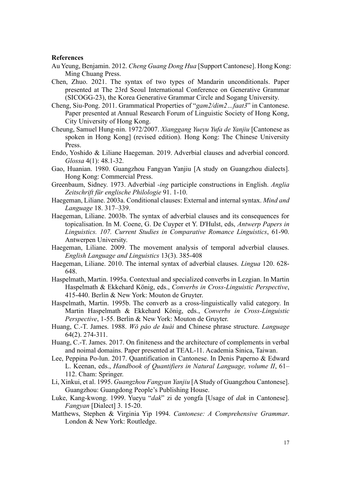#### **References**

- Au Yeung, Benjamin. 2012. *Cheng Guang Dong Hua* [Support Cantonese]. Hong Kong: Ming Chuang Press.
- Chen, Zhuo. 2021. The syntax of two types of Mandarin unconditionals. Paper presented at The 23rd Seoul International Conference on Generative Grammar (SICOGG-23), the Korea Generative Grammar Circle and Sogang University.
- Cheng, Siu-Pong. 2011. Grammatical Properties of "*gam2/dim2…faat3*" in Cantonese. Paper presented at Annual Research Forum of Linguistic Society of Hong Kong, City University of Hong Kong.
- Cheung, Samuel Hung-nin. 1972/2007. *Xianggang Yueyu Yufa de Yanjiu* [Cantonese as spoken in Hong Kong] (revised edition). Hong Kong: The Chinese University Press.
- Endo, Yoshido & Liliane Haegeman. 2019. Adverbial clauses and adverbial concord. *Glossa* 4(1): 48.1-32.
- Gao, Huanian. 1980. Guangzhou Fangyan Yanjiu [A study on Guangzhou dialects]. Hong Kong: Commercial Press.
- Greenbaum, Sidney. 1973. Adverbial *-ing* participle constructions in English. *Anglia Zeitschrift für englische Philologie* 91. 1-10.
- Haegeman, Liliane. 2003a. Conditional clauses: External and internal syntax. *Mind and Language* 18. 317–339.
- Haegeman, Liliane. 2003b. The syntax of adverbial clauses and its consequences for topicalisation. In M. Coene, G. De Cuyper et Y. D'Hulst, eds, *Antwerp Papers in Linguistics. 107. Current Studies in Comparative Romance Linguistics*, 61-90. Antwerpen University.
- Haegeman, Liliane. 2009. The movement analysis of temporal adverbial clauses. *English Language and Linguistics* 13(3). 385-408
- Haegeman, Liliane. 2010. The internal syntax of adverbial clauses. *Lingua* 120. 628- 648.
- Haspelmath, Martin. 1995a. Contextual and specialized converbs in Lezgian. In Martin Haspelmath & Ekkehard König, eds., *Converbs in Cross-Linguistic Perspective*, 415-440. Berlin & New York: Mouton de Gruyter.
- Haspelmath, Martin. 1995b. The converb as a cross-linguistically valid category. In Martin Haspelmath & Ekkehard König, eds., *Converbs in Cross-Linguistic Perspective*, 1-55. Berlin & New York: Mouton de Gruyter.
- Huang, C.-T. James. 1988. *Wǒ pǎo de kuài* and Chinese phrase structure. *Language*  64(2). 274-311.
- Huang, C.-T. James. 2017. On finiteness and the architecture of complements in verbal and noimal domains. Paper presented at TEAL-11. Academia Sinica, Taiwan.
- Lee, Peppina Po-lun. 2017. Quantification in Cantonese. In Denis Paperno & Edward L. Keenan, eds., *Handbook of Quantifiers in Natural Language, volume II*, 61– 112. Cham: Springer.
- Li, Xinkui, et al. 1995. *Guangzhou Fangyan Yanjiu* [A Study of Guangzhou Cantonese]. Guangzhou: Guangdong People's Publishing House.
- Luke, Kang-kwong. 1999. Yueyu "*dak*" zi de yongfa [Usage of *dak* in Cantonese]. *Fangyan* [Dialect] 3. 15-20.
- Matthews, Stephen & Virginia Yip 1994. *Cantonese: A Comprehensive Grammar*. London & New York: Routledge.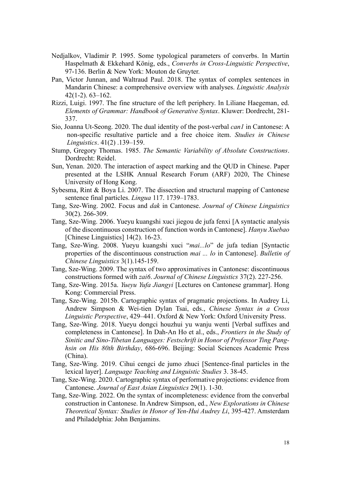- Nedjalkov, Vladimir P. 1995. Some typological parameters of converbs. In Martin Haspelmath & Ekkehard König, eds., *Converbs in Cross-Linguistic Perspective*, 97-136. Berlin & New York: Mouton de Gruyter.
- Pan, Victor Junnan, and Waltraud Paul. 2018. The syntax of complex sentences in Mandarin Chinese: a comprehensive overview with analyses. *Linguistic Analysis* 42(1-2). 63–162.
- Rizzi, Luigi. 1997. The fine structure of the left periphery. In Liliane Haegeman, ed. *Elements of Grammar: Handbook of Generative Syntax*. Kluwer: Dordrecht, 281- 337.
- Sio, Joanna Ut-Seong. 2020. The dual identity of the post-verbal *can1* in Cantonese: A non-specific resultative particle and a free choice item. *Studies in Chinese Linguistics*. 41(2) .139–159.
- Stump, Gregory Thomas. 1985. *The Semantic Variability of Absolute Constructions*. Dordrecht: Reidel.
- Sun, Yenan. 2020. The interaction of aspect marking and the QUD in Chinese. Paper presented at the LSHK Annual Research Forum (ARF) 2020, The Chinese University of Hong Kong.
- Sybesma, Rint & Boya Li. 2007. The dissection and structural mapping of Cantonese sentence final particles. *Lingua* 117. 1739–1783.
- Tang, Sze-Wing. 2002. Focus and *dak* in Cantonese. *Journal of Chinese Linguistics* 30(2). 266-309.
- Tang, Sze-Wing. 2006. Yueyu kuangshi xuci jiegou de jufa fenxi [A syntactic analysis of the discontinuous construction of function words in Cantonese]. *Hanyu Xuebao* [Chinese Linguistics] 14(2). 16-23.
- Tang, Sze-Wing. 2008. Yueyu kuangshi xuci "*mai...lo*" de jufa tedian [Syntactic properties of the discontinuous construction *mai ... lo* in Cantonese]. *Bulletin of Chinese Linguistics* 3(1).145-159.
- Tang, Sze-Wing. 2009. The syntax of two approximatives in Cantonese: discontinuous constructions formed with *zai6*. *Journal of Chinese Linguistics* 37(2). 227-256.
- Tang, Sze-Wing. 2015a. *Yueyu Yufa Jiangyi* [Lectures on Cantonese grammar]. Hong Kong: Commercial Press.
- Tang, Sze-Wing. 2015b. Cartographic syntax of pragmatic projections. In Audrey Li, Andrew Simpson & Wei-tien Dylan Tsai, eds., *Chinese Syntax in a Cross Linguistic Perspective*, 429–441. Oxford & New York: Oxford University Press.
- Tang, Sze-Wing. 2018. Yueyu dongci houzhui yu wanju wenti [Verbal suffixes and completeness in Cantonese]. In Dah-An Ho et al., eds., *Frontiers in the Study of Sinitic and Sino-Tibetan Languages: Festschrift in Honor of Professor Ting Panghsin on His 80th Birthday*, 686-696. Beijing: Social Sciences Academic Press (China).
- Tang, Sze-Wing. 2019. Cihui cengci de jumo zhuci [Sentence-final particles in the lexical layer]. *Language Teaching and Linguistic Studies* 3. 38-45.
- Tang, Sze-Wing. 2020. Cartographic syntax of performative projections: evidence from Cantonese. *Journal of East Asian Linguistics* 29(1). 1-30.
- Tang, Sze-Wing. 2022. On the syntax of incompleteness: evidence from the converbal construction in Cantonese. In Andrew Simpson, ed., *New Explorations in Chinese Theoretical Syntax: Studies in Honor of Yen-Hui Audrey Li*, 395-427. Amsterdam and Philadelphia: John Benjamins.